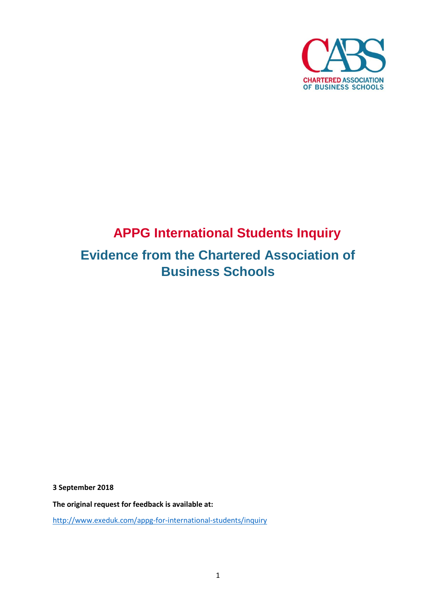

# **APPG International Students Inquiry Evidence from the Chartered Association of Business Schools**

**3 September 2018**

**The original request for feedback is available at:**

<http://www.exeduk.com/appg-for-international-students/inquiry>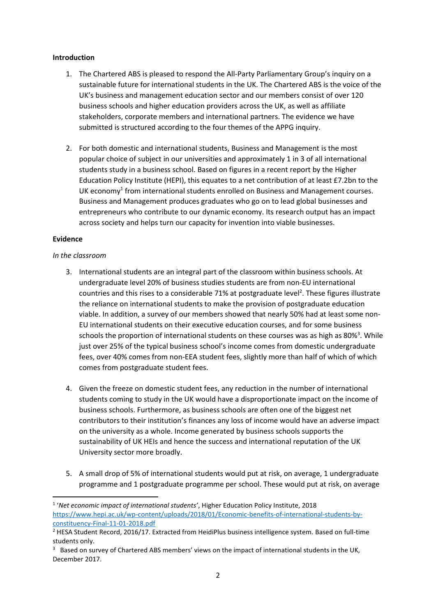### **Introduction**

- 1. The Chartered ABS is pleased to respond the All-Party Parliamentary Group's inquiry on a sustainable future for international students in the UK. The Chartered ABS is the voice of the UK's business and management education sector and our members consist of over 120 business schools and higher education providers across the UK, as well as affiliate stakeholders, corporate members and international partners. The evidence we have submitted is structured according to the four themes of the APPG inquiry.
- 2. For both domestic and international students, Business and Management is the most popular choice of subject in our universities and approximately 1 in 3 of all international students study in a business school. Based on figures in a recent report by the Higher Education Policy Institute (HEPI), this equates to a net contribution of at least £7.2bn to the UK economy<sup>1</sup> from international students enrolled on Business and Management courses. Business and Management produces graduates who go on to lead global businesses and entrepreneurs who contribute to our dynamic economy. Its research output has an impact across society and helps turn our capacity for invention into viable businesses.

## **Evidence**

**.** 

#### *In the classroom*

- 3. International students are an integral part of the classroom within business schools. At undergraduate level 20% of business studies students are from non-EU international countries and this rises to a considerable 71% at postgraduate level<sup>2</sup>. These figures illustrate the reliance on international students to make the provision of postgraduate education viable. In addition, a survey of our members showed that nearly 50% had at least some non-EU international students on their executive education courses, and for some business schools the proportion of international students on these courses was as high as 80%<sup>3</sup>. While just over 25% of the typical business school's income comes from domestic undergraduate fees, over 40% comes from non-EEA student fees, slightly more than half of which of which comes from postgraduate student fees.
- 4. Given the freeze on domestic student fees, any reduction in the number of international students coming to study in the UK would have a disproportionate impact on the income of business schools. Furthermore, as business schools are often one of the biggest net contributors to their institution's finances any loss of income would have an adverse impact on the university as a whole. Income generated by business schools supports the sustainability of UK HEIs and hence the success and international reputation of the UK University sector more broadly.
- 5. A small drop of 5% of international students would put at risk, on average, 1 undergraduate programme and 1 postgraduate programme per school. These would put at risk, on average

<sup>1</sup> '*Net economic impact of international students'*, Higher Education Policy Institute, 2018 [https://www.hepi.ac.uk/wp-content/uploads/2018/01/Economic-benefits-of-international-students-by](https://www.hepi.ac.uk/wp-content/uploads/2018/01/Economic-benefits-of-international-students-by-constituency-Final-11-01-2018.pdf)[constituency-Final-11-01-2018.pdf](https://www.hepi.ac.uk/wp-content/uploads/2018/01/Economic-benefits-of-international-students-by-constituency-Final-11-01-2018.pdf)

<sup>2</sup> HESA Student Record, 2016/17. Extracted from HeidiPlus business intelligence system. Based on full-time students only.

<sup>&</sup>lt;sup>3</sup> Based on survey of Chartered ABS members' views on the impact of international students in the UK, December 2017.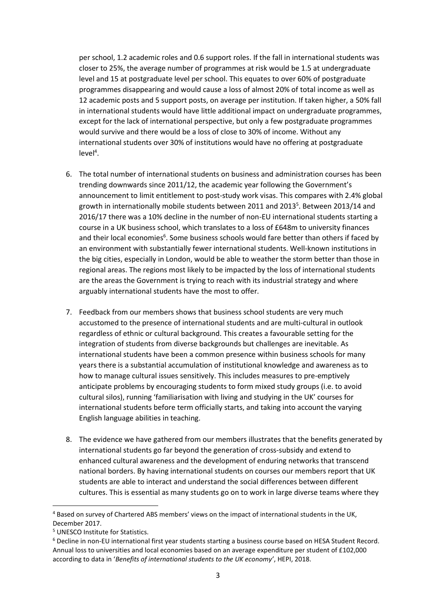per school, 1.2 academic roles and 0.6 support roles. If the fall in international students was closer to 25%, the average number of programmes at risk would be 1.5 at undergraduate level and 15 at postgraduate level per school. This equates to over 60% of postgraduate programmes disappearing and would cause a loss of almost 20% of total income as well as 12 academic posts and 5 support posts, on average per institution. If taken higher, a 50% fall in international students would have little additional impact on undergraduate programmes, except for the lack of international perspective, but only a few postgraduate programmes would survive and there would be a loss of close to 30% of income. Without any international students over 30% of institutions would have no offering at postgraduate  $level<sup>4</sup>$ .

- 6. The total number of international students on business and administration courses has been trending downwards since 2011/12, the academic year following the Government's announcement to limit entitlement to post-study work visas. This compares with 2.4% global growth in internationally mobile students between 2011 and 2013<sup>5</sup>. Between 2013/14 and 2016/17 there was a 10% decline in the number of non-EU international students starting a course in a UK business school, which translates to a loss of £648m to university finances and their local economies<sup>6</sup>. Some business schools would fare better than others if faced by an environment with substantially fewer international students. Well-known institutions in the big cities, especially in London, would be able to weather the storm better than those in regional areas. The regions most likely to be impacted by the loss of international students are the areas the Government is trying to reach with its industrial strategy and where arguably international students have the most to offer.
- 7. Feedback from our members shows that business school students are very much accustomed to the presence of international students and are multi-cultural in outlook regardless of ethnic or cultural background. This creates a favourable setting for the integration of students from diverse backgrounds but challenges are inevitable. As international students have been a common presence within business schools for many years there is a substantial accumulation of institutional knowledge and awareness as to how to manage cultural issues sensitively. This includes measures to pre-emptively anticipate problems by encouraging students to form mixed study groups (i.e. to avoid cultural silos), running 'familiarisation with living and studying in the UK' courses for international students before term officially starts, and taking into account the varying English language abilities in teaching.
- 8. The evidence we have gathered from our members illustrates that the benefits generated by international students go far beyond the generation of cross-subsidy and extend to enhanced cultural awareness and the development of enduring networks that transcend national borders. By having international students on courses our members report that UK students are able to interact and understand the social differences between different cultures. This is essential as many students go on to work in large diverse teams where they

**.** 

<sup>4</sup> Based on survey of Chartered ABS members' views on the impact of international students in the UK, December 2017.

<sup>5</sup> UNESCO Institute for Statistics.

<sup>6</sup> Decline in non-EU international first year students starting a business course based on HESA Student Record. Annual loss to universities and local economies based on an average expenditure per student of £102,000 according to data in '*Benefits of international students to the UK economy'*, HEPI, 2018.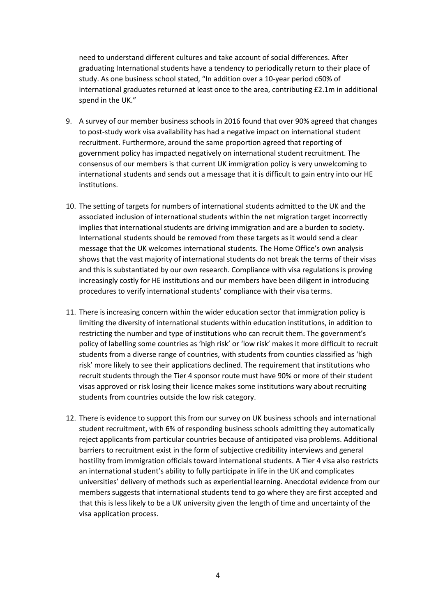need to understand different cultures and take account of social differences. After graduating International students have a tendency to periodically return to their place of study. As one business school stated, "In addition over a 10-year period c60% of international graduates returned at least once to the area, contributing £2.1m in additional spend in the UK."

- 9. A survey of our member business schools in 2016 found that over 90% agreed that changes to post-study work visa availability has had a negative impact on international student recruitment. Furthermore, around the same proportion agreed that reporting of government policy has impacted negatively on international student recruitment. The consensus of our members is that current UK immigration policy is very unwelcoming to international students and sends out a message that it is difficult to gain entry into our HE institutions.
- 10. The setting of targets for numbers of international students admitted to the UK and the associated inclusion of international students within the net migration target incorrectly implies that international students are driving immigration and are a burden to society. International students should be removed from these targets as it would send a clear message that the UK welcomes international students. The Home Office's own analysis shows that the vast majority of international students do not break the terms of their visas and this is substantiated by our own research. Compliance with visa regulations is proving increasingly costly for HE institutions and our members have been diligent in introducing procedures to verify international students' compliance with their visa terms.
- 11. There is increasing concern within the wider education sector that immigration policy is limiting the diversity of international students within education institutions, in addition to restricting the number and type of institutions who can recruit them. The government's policy of labelling some countries as 'high risk' or 'low risk' makes it more difficult to recruit students from a diverse range of countries, with students from counties classified as 'high risk' more likely to see their applications declined. The requirement that institutions who recruit students through the Tier 4 sponsor route must have 90% or more of their student visas approved or risk losing their licence makes some institutions wary about recruiting students from countries outside the low risk category.
- 12. There is evidence to support this from our survey on UK business schools and international student recruitment, with 6% of responding business schools admitting they automatically reject applicants from particular countries because of anticipated visa problems. Additional barriers to recruitment exist in the form of subjective credibility interviews and general hostility from immigration officials toward international students. A Tier 4 visa also restricts an international student's ability to fully participate in life in the UK and complicates universities' delivery of methods such as experiential learning. Anecdotal evidence from our members suggests that international students tend to go where they are first accepted and that this is less likely to be a UK university given the length of time and uncertainty of the visa application process.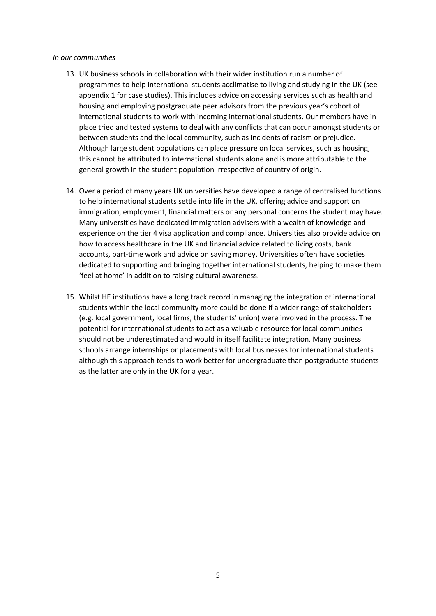#### *In our communities*

- 13. UK business schools in collaboration with their wider institution run a number of programmes to help international students acclimatise to living and studying in the UK (see appendix 1 for case studies). This includes advice on accessing services such as health and housing and employing postgraduate peer advisors from the previous year's cohort of international students to work with incoming international students. Our members have in place tried and tested systems to deal with any conflicts that can occur amongst students or between students and the local community, such as incidents of racism or prejudice. Although large student populations can place pressure on local services, such as housing, this cannot be attributed to international students alone and is more attributable to the general growth in the student population irrespective of country of origin.
- 14. Over a period of many years UK universities have developed a range of centralised functions to help international students settle into life in the UK, offering advice and support on immigration, employment, financial matters or any personal concerns the student may have. Many universities have dedicated immigration advisers with a wealth of knowledge and experience on the tier 4 visa application and compliance. Universities also provide advice on how to access healthcare in the UK and financial advice related to living costs, bank accounts, part-time work and advice on saving money. Universities often have societies dedicated to supporting and bringing together international students, helping to make them 'feel at home' in addition to raising cultural awareness.
- 15. Whilst HE institutions have a long track record in managing the integration of international students within the local community more could be done if a wider range of stakeholders (e.g. local government, local firms, the students' union) were involved in the process. The potential for international students to act as a valuable resource for local communities should not be underestimated and would in itself facilitate integration. Many business schools arrange internships or placements with local businesses for international students although this approach tends to work better for undergraduate than postgraduate students as the latter are only in the UK for a year.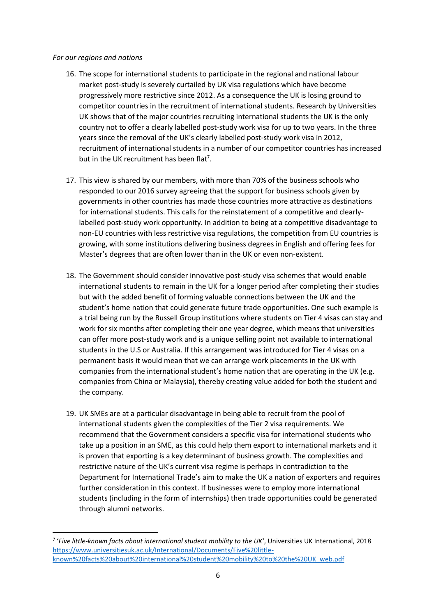#### *For our regions and nations*

**.** 

- 16. The scope for international students to participate in the regional and national labour market post-study is severely curtailed by UK visa regulations which have become progressively more restrictive since 2012. As a consequence the UK is losing ground to competitor countries in the recruitment of international students. Research by Universities UK shows that of the major countries recruiting international students the UK is the only country not to offer a clearly labelled post-study work visa for up to two years. In the three years since the removal of the UK's clearly labelled post-study work visa in 2012, recruitment of international students in a number of our competitor countries has increased but in the UK recruitment has been flat<sup>7</sup>.
- 17. This view is shared by our members, with more than 70% of the business schools who responded to our 2016 survey agreeing that the support for business schools given by governments in other countries has made those countries more attractive as destinations for international students. This calls for the reinstatement of a competitive and clearlylabelled post-study work opportunity. In addition to being at a competitive disadvantage to non-EU countries with less restrictive visa regulations, the competition from EU countries is growing, with some institutions delivering business degrees in English and offering fees for Master's degrees that are often lower than in the UK or even non-existent.
- 18. The Government should consider innovative post-study visa schemes that would enable international students to remain in the UK for a longer period after completing their studies but with the added benefit of forming valuable connections between the UK and the student's home nation that could generate future trade opportunities. One such example is a trial being run by the Russell Group institutions where students on Tier 4 visas can stay and work for six months after completing their one year degree, which means that universities can offer more post-study work and is a unique selling point not available to international students in the U.S or Australia. If this arrangement was introduced for Tier 4 visas on a permanent basis it would mean that we can arrange work placements in the UK with companies from the international student's home nation that are operating in the UK (e.g. companies from China or Malaysia), thereby creating value added for both the student and the company.
- 19. UK SMEs are at a particular disadvantage in being able to recruit from the pool of international students given the complexities of the Tier 2 visa requirements. We recommend that the Government considers a specific visa for international students who take up a position in an SME, as this could help them export to international markets and it is proven that exporting is a key determinant of business growth. The complexities and restrictive nature of the UK's current visa regime is perhaps in contradiction to the Department for International Trade's aim to make the UK a nation of exporters and requires further consideration in this context. If businesses were to employ more international students (including in the form of internships) then trade opportunities could be generated through alumni networks.

<sup>7</sup> '*Five little-known facts about international student mobility to the UK'*, Universities UK International, 2018 [https://www.universitiesuk.ac.uk/International/Documents/Five%20little](https://www.universitiesuk.ac.uk/International/Documents/Five%20little-known%20facts%20about%20international%20student%20mobility%20to%20the%20UK_web.pdf)[known%20facts%20about%20international%20student%20mobility%20to%20the%20UK\\_web.pdf](https://www.universitiesuk.ac.uk/International/Documents/Five%20little-known%20facts%20about%20international%20student%20mobility%20to%20the%20UK_web.pdf)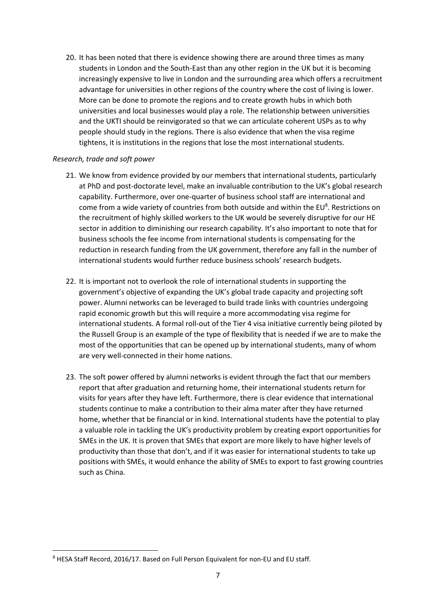20. It has been noted that there is evidence showing there are around three times as many students in London and the South-East than any other region in the UK but it is becoming increasingly expensive to live in London and the surrounding area which offers a recruitment advantage for universities in other regions of the country where the cost of living is lower. More can be done to promote the regions and to create growth hubs in which both universities and local businesses would play a role. The relationship between universities and the UKTI should be reinvigorated so that we can articulate coherent USPs as to why people should study in the regions. There is also evidence that when the visa regime tightens, it is institutions in the regions that lose the most international students.

#### *Research, trade and soft power*

**.** 

- 21. We know from evidence provided by our members that international students, particularly at PhD and post-doctorate level, make an invaluable contribution to the UK's global research capability. Furthermore, over one-quarter of business school staff are international and come from a wide variety of countries from both outside and within the EU<sup>8</sup>. Restrictions on the recruitment of highly skilled workers to the UK would be severely disruptive for our HE sector in addition to diminishing our research capability. It's also important to note that for business schools the fee income from international students is compensating for the reduction in research funding from the UK government, therefore any fall in the number of international students would further reduce business schools' research budgets.
- 22. It is important not to overlook the role of international students in supporting the government's objective of expanding the UK's global trade capacity and projecting soft power. Alumni networks can be leveraged to build trade links with countries undergoing rapid economic growth but this will require a more accommodating visa regime for international students. A formal roll-out of the Tier 4 visa initiative currently being piloted by the Russell Group is an example of the type of flexibility that is needed if we are to make the most of the opportunities that can be opened up by international students, many of whom are very well-connected in their home nations.
- 23. The soft power offered by alumni networks is evident through the fact that our members report that after graduation and returning home, their international students return for visits for years after they have left. Furthermore, there is clear evidence that international students continue to make a contribution to their alma mater after they have returned home, whether that be financial or in kind. International students have the potential to play a valuable role in tackling the UK's productivity problem by creating export opportunities for SMEs in the UK. It is proven that SMEs that export are more likely to have higher levels of productivity than those that don't, and if it was easier for international students to take up positions with SMEs, it would enhance the ability of SMEs to export to fast growing countries such as China.

<sup>8</sup> HESA Staff Record, 2016/17. Based on Full Person Equivalent for non-EU and EU staff.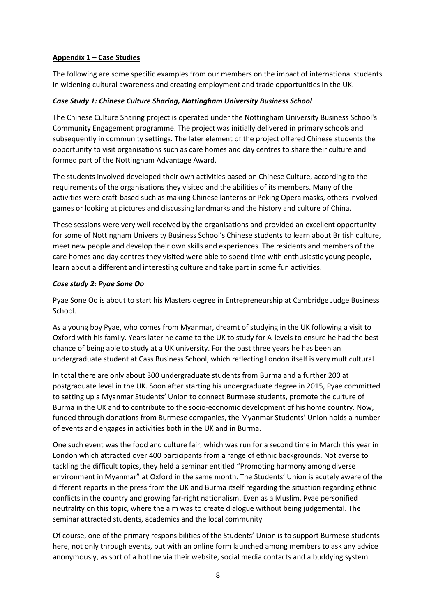## **Appendix 1 – Case Studies**

The following are some specific examples from our members on the impact of international students in widening cultural awareness and creating employment and trade opportunities in the UK.

## *Case Study 1: Chinese Culture Sharing, Nottingham University Business School*

The Chinese Culture Sharing project is operated under the Nottingham University Business School's Community Engagement programme. The project was initially delivered in primary schools and subsequently in community settings. The later element of the project offered Chinese students the opportunity to visit organisations such as care homes and day centres to share their culture and formed part of the Nottingham Advantage Award.

The students involved developed their own activities based on Chinese Culture, according to the requirements of the organisations they visited and the abilities of its members. Many of the activities were craft-based such as making Chinese lanterns or Peking Opera masks, others involved games or looking at pictures and discussing landmarks and the history and culture of China.

These sessions were very well received by the organisations and provided an excellent opportunity for some of Nottingham University Business School's Chinese students to learn about British culture, meet new people and develop their own skills and experiences. The residents and members of the care homes and day centres they visited were able to spend time with enthusiastic young people, learn about a different and interesting culture and take part in some fun activities.

## *Case study 2: Pyae Sone Oo*

Pyae Sone Oo is about to start his Masters degree in Entrepreneurship at Cambridge Judge Business School.

As a young boy Pyae, who comes from Myanmar, dreamt of studying in the UK following a visit to Oxford with his family. Years later he came to the UK to study for A-levels to ensure he had the best chance of being able to study at a UK university. For the past three years he has been an undergraduate student at Cass Business School, which reflecting London itself is very multicultural.

In total there are only about 300 undergraduate students from Burma and a further 200 at postgraduate level in the UK. Soon after starting his undergraduate degree in 2015, Pyae committed to setting up a Myanmar Students' Union to connect Burmese students, promote the culture of Burma in the UK and to contribute to the socio-economic development of his home country. Now, funded through donations from Burmese companies, the Myanmar Students' Union holds a number of events and engages in activities both in the UK and in Burma.

One such event was the food and culture fair, which was run for a second time in March this year in London which attracted over 400 participants from a range of ethnic backgrounds. Not averse to tackling the difficult topics, they held a seminar entitled "Promoting harmony among diverse environment in Myanmar" at Oxford in the same month. The Students' Union is acutely aware of the different reports in the press from the UK and Burma itself regarding the situation regarding ethnic conflicts in the country and growing far-right nationalism. Even as a Muslim, Pyae personified neutrality on this topic, where the aim was to create dialogue without being judgemental. The seminar attracted students, academics and the local community

Of course, one of the primary responsibilities of the Students' Union is to support Burmese students here, not only through events, but with an online form launched among members to ask any advice anonymously, as sort of a hotline via their website, social media contacts and a buddying system.